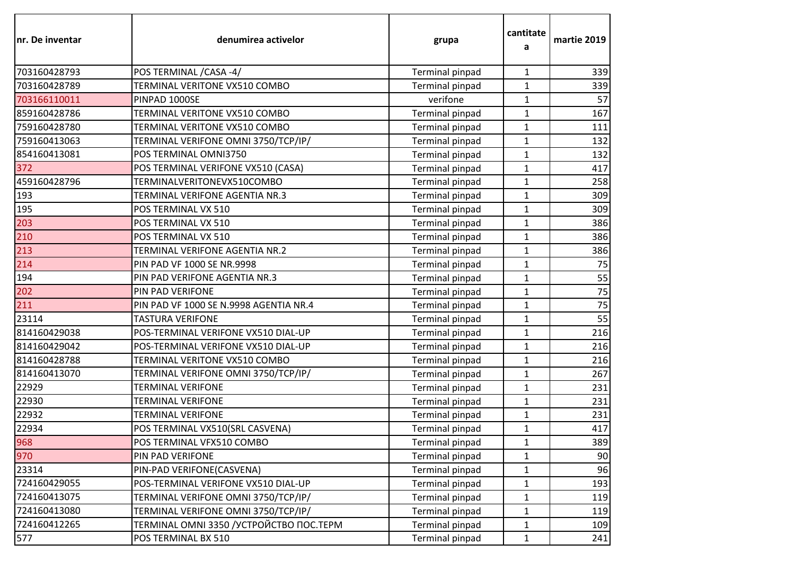| nr. De inventar | denumirea activelor                       | grupa                  | cantitate<br>a | martie 2019 |
|-----------------|-------------------------------------------|------------------------|----------------|-------------|
| 703160428793    | POS TERMINAL / CASA - 4/                  | Terminal pinpad        | 1              | 339         |
| 703160428789    | TERMINAL VERITONE VX510 COMBO             | Terminal pinpad        | $\mathbf{1}$   | 339         |
| 703166110011    | PINPAD 1000SE                             | verifone               | $\mathbf{1}$   | 57          |
| 859160428786    | TERMINAL VERITONE VX510 COMBO             | Terminal pinpad        | $\mathbf{1}$   | 167         |
| 759160428780    | TERMINAL VERITONE VX510 COMBO             | Terminal pinpad        | $\mathbf{1}$   | 111         |
| 759160413063    | TERMINAL VERIFONE OMNI 3750/TCP/IP/       | Terminal pinpad        | $\mathbf{1}$   | 132         |
| 854160413081    | POS TERMINAL OMNI3750                     | Terminal pinpad        | $\mathbf{1}$   | 132         |
| 372             | POS TERMINAL VERIFONE VX510 (CASA)        | Terminal pinpad        | $\mathbf{1}$   | 417         |
| 459160428796    | TERMINALVERITONEVX510COMBO                | Terminal pinpad        | $\mathbf{1}$   | 258         |
| 193             | TERMINAL VERIFONE AGENTIA NR.3            | Terminal pinpad        | $\mathbf{1}$   | 309         |
| 195             | POS TERMINAL VX 510                       | Terminal pinpad        | $\mathbf{1}$   | 309         |
| 203             | POS TERMINAL VX 510                       | Terminal pinpad        | $\mathbf 1$    | 386         |
| 210             | POS TERMINAL VX 510                       | <b>Terminal pinpad</b> | $\mathbf{1}$   | 386         |
| 213             | TERMINAL VERIFONE AGENTIA NR.2            | Terminal pinpad        | $\mathbf{1}$   | 386         |
| 214             | PIN PAD VF 1000 SE NR.9998                | <b>Terminal pinpad</b> | $\mathbf{1}$   | 75          |
| 194             | PIN PAD VERIFONE AGENTIA NR.3             | Terminal pinpad        | $\mathbf{1}$   | 55          |
| 202             | PIN PAD VERIFONE                          | Terminal pinpad        | $\mathbf{1}$   | 75          |
| 211             | PIN PAD VF 1000 SE N.9998 AGENTIA NR.4    | Terminal pinpad        | $\mathbf{1}$   | 75          |
| 23114           | <b>TASTURA VERIFONE</b>                   | Terminal pinpad        | $\mathbf 1$    | 55          |
| 814160429038    | POS-TERMINAL VERIFONE VX510 DIAL-UP       | Terminal pinpad        | $\mathbf{1}$   | 216         |
| 814160429042    | POS-TERMINAL VERIFONE VX510 DIAL-UP       | Terminal pinpad        | $\mathbf{1}$   | 216         |
| 814160428788    | TERMINAL VERITONE VX510 COMBO             | Terminal pinpad        | $\mathbf{1}$   | 216         |
| 814160413070    | TERMINAL VERIFONE OMNI 3750/TCP/IP/       | Terminal pinpad        | $\mathbf{1}$   | 267         |
| 22929           | <b>TERMINAL VERIFONE</b>                  | Terminal pinpad        | $\mathbf{1}$   | 231         |
| 22930           | <b>TERMINAL VERIFONE</b>                  | Terminal pinpad        | $\mathbf{1}$   | 231         |
| 22932           | <b>TERMINAL VERIFONE</b>                  | Terminal pinpad        | $\mathbf{1}$   | 231         |
| 22934           | POS TERMINAL VX510(SRL CASVENA)           | Terminal pinpad        | $\mathbf{1}$   | 417         |
| 968             | POS TERMINAL VFX510 COMBO                 | Terminal pinpad        | $\mathbf{1}$   | 389         |
| 970             | PIN PAD VERIFONE                          | Terminal pinpad        | 1              | 90          |
| 23314           | PIN-PAD VERIFONE(CASVENA)                 | Terminal pinpad        | 1              | 96          |
| 724160429055    | POS-TERMINAL VERIFONE VX510 DIAL-UP       | Terminal pinpad        | $\mathbf{1}$   | 193         |
| 724160413075    | TERMINAL VERIFONE OMNI 3750/TCP/IP/       | Terminal pinpad        | $\mathbf{1}$   | 119         |
| 724160413080    | TERMINAL VERIFONE OMNI 3750/TCP/IP/       | Terminal pinpad        | $\mathbf{1}$   | 119         |
| 724160412265    | TERMINAL OMNI 3350 / УСТРОЙСТВО ПОС. ТЕРМ | Terminal pinpad        | $\mathbf{1}$   | 109         |
| 577             | POS TERMINAL BX 510                       | Terminal pinpad        | 1              | 241         |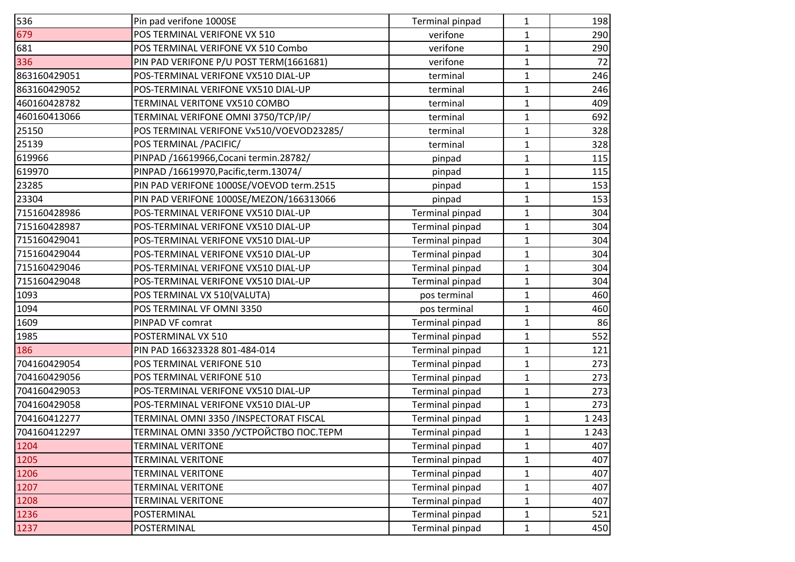| 536          | Pin pad verifone 1000SE                  | Terminal pinpad | 1            | 198     |
|--------------|------------------------------------------|-----------------|--------------|---------|
| 679          | POS TERMINAL VERIFONE VX 510             | verifone        | $\mathbf{1}$ | 290     |
| 681          | POS TERMINAL VERIFONE VX 510 Combo       | verifone        | $\mathbf{1}$ | 290     |
| 336          | PIN PAD VERIFONE P/U POST TERM(1661681)  | verifone        | $\mathbf{1}$ | 72      |
| 863160429051 | POS-TERMINAL VERIFONE VX510 DIAL-UP      | terminal        | $\mathbf{1}$ | 246     |
| 863160429052 | POS-TERMINAL VERIFONE VX510 DIAL-UP      | terminal        | $\mathbf{1}$ | 246     |
| 460160428782 | TERMINAL VERITONE VX510 COMBO            | terminal        | $\mathbf{1}$ | 409     |
| 460160413066 | TERMINAL VERIFONE OMNI 3750/TCP/IP/      | terminal        | $\mathbf{1}$ | 692     |
| 25150        | POS TERMINAL VERIFONE Vx510/VOEVOD23285/ | terminal        | $\mathbf{1}$ | 328     |
| 25139        | POS TERMINAL / PACIFIC/                  | terminal        | $\mathbf{1}$ | 328     |
| 619966       | PINPAD /16619966, Cocani termin. 28782/  | pinpad          | 1            | 115     |
| 619970       | PINPAD /16619970, Pacific, term. 13074/  | pinpad          | $\mathbf{1}$ | 115     |
| 23285        | PIN PAD VERIFONE 1000SE/VOEVOD term.2515 | pinpad          | $\mathbf{1}$ | 153     |
| 23304        | PIN PAD VERIFONE 1000SE/MEZON/166313066  | pinpad          | $\mathbf{1}$ | 153     |
| 715160428986 | POS-TERMINAL VERIFONE VX510 DIAL-UP      | Terminal pinpad | $\mathbf{1}$ | 304     |
| 715160428987 | POS-TERMINAL VERIFONE VX510 DIAL-UP      | Terminal pinpad | $\mathbf{1}$ | 304     |
| 715160429041 | POS-TERMINAL VERIFONE VX510 DIAL-UP      | Terminal pinpad | $\mathbf{1}$ | 304     |
| 715160429044 | POS-TERMINAL VERIFONE VX510 DIAL-UP      | Terminal pinpad | $\mathbf{1}$ | 304     |
| 715160429046 | POS-TERMINAL VERIFONE VX510 DIAL-UP      | Terminal pinpad | $\mathbf{1}$ | 304     |
| 715160429048 | POS-TERMINAL VERIFONE VX510 DIAL-UP      | Terminal pinpad | $\mathbf{1}$ | 304     |
| 1093         | POS TERMINAL VX 510(VALUTA)              | pos terminal    | $\mathbf{1}$ | 460     |
| 1094         | POS TERMINAL VF OMNI 3350                | pos terminal    | $\mathbf{1}$ | 460     |
| 1609         | PINPAD VF comrat                         | Terminal pinpad | $\mathbf{1}$ | 86      |
| 1985         | POSTERMINAL VX 510                       | Terminal pinpad | $\mathbf{1}$ | 552     |
| 186          | PIN PAD 166323328 801-484-014            | Terminal pinpad | $\mathbf{1}$ | 121     |
| 704160429054 | POS TERMINAL VERIFONE 510                | Terminal pinpad | $\mathbf{1}$ | 273     |
| 704160429056 | POS TERMINAL VERIFONE 510                | Terminal pinpad | $\mathbf{1}$ | 273     |
| 704160429053 | POS-TERMINAL VERIFONE VX510 DIAL-UP      | Terminal pinpad | $\mathbf{1}$ | 273     |
| 704160429058 | POS-TERMINAL VERIFONE VX510 DIAL-UP      | Terminal pinpad | $\mathbf{1}$ | 273     |
| 704160412277 | TERMINAL OMNI 3350 /INSPECTORAT FISCAL   | Terminal pinpad | $\mathbf{1}$ | 1 2 4 3 |
| 704160412297 | TERMINAL OMNI 3350 / YCTPOЙCTBO NOC.TEPM | Terminal pinpad | $\mathbf{1}$ | 1 2 4 3 |
| 1204         | <b>TERMINAL VERITONE</b>                 | Terminal pinpad | 1            | 407     |
| 1205         | <b>TERMINAL VERITONE</b>                 | Terminal pinpad | $\mathbf{1}$ | 407     |
| 1206         | <b>TERMINAL VERITONE</b>                 | Terminal pinpad | $\mathbf{1}$ | 407     |
| 1207         | <b>TERMINAL VERITONE</b>                 | Terminal pinpad | $\mathbf{1}$ | 407     |
| 1208         | <b>TERMINAL VERITONE</b>                 | Terminal pinpad | $\mathbf{1}$ | 407     |
| 1236         | POSTERMINAL                              | Terminal pinpad | 1            | 521     |
| 1237         | POSTERMINAL                              | Terminal pinpad | $\mathbf{1}$ | 450     |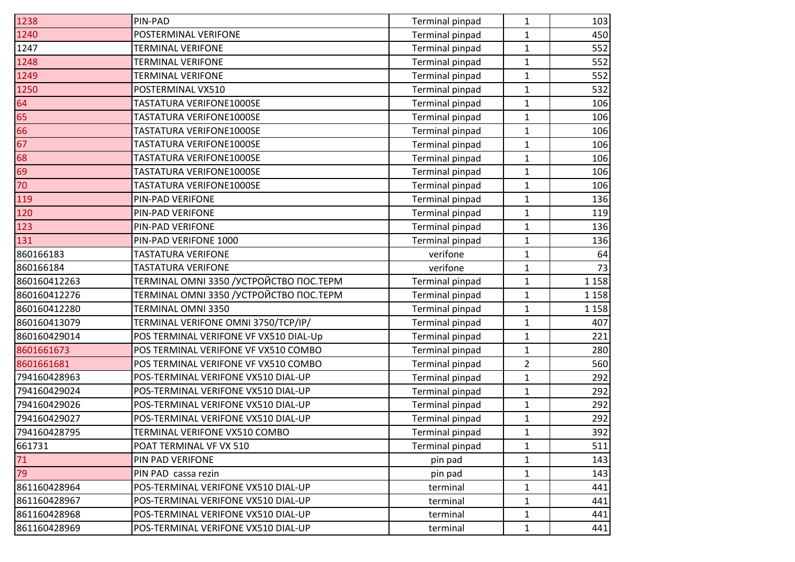| 1238         | PIN-PAD                                   | Terminal pinpad | 1              | 103     |
|--------------|-------------------------------------------|-----------------|----------------|---------|
| 1240         | POSTERMINAL VERIFONE                      | Terminal pinpad | $\mathbf{1}$   | 450     |
| 1247         | <b>TERMINAL VERIFONE</b>                  | Terminal pinpad | $\mathbf{1}$   | 552     |
| 1248         | <b>TERMINAL VERIFONE</b>                  | Terminal pinpad | 1              | 552     |
| 1249         | <b>TERMINAL VERIFONE</b>                  | Terminal pinpad | $\mathbf{1}$   | 552     |
| 1250         | POSTERMINAL VX510                         | Terminal pinpad | $\mathbf{1}$   | 532     |
| 64           | TASTATURA VERIFONE1000SE                  | Terminal pinpad | $\mathbf{1}$   | 106     |
| 65           | TASTATURA VERIFONE1000SE                  | Terminal pinpad | $\mathbf{1}$   | 106     |
| 66           | TASTATURA VERIFONE1000SE                  | Terminal pinpad | $\mathbf{1}$   | 106     |
| 67           | TASTATURA VERIFONE1000SE                  | Terminal pinpad | $\mathbf{1}$   | 106     |
| 68           | TASTATURA VERIFONE1000SE                  | Terminal pinpad | 1              | 106     |
| 69           | TASTATURA VERIFONE1000SE                  | Terminal pinpad | $\mathbf{1}$   | 106     |
| 70           | TASTATURA VERIFONE1000SE                  | Terminal pinpad | $\mathbf{1}$   | 106     |
| 119          | PIN-PAD VERIFONE                          | Terminal pinpad | $\mathbf{1}$   | 136     |
| 120          | PIN-PAD VERIFONE                          | Terminal pinpad | $\mathbf{1}$   | 119     |
| 123          | PIN-PAD VERIFONE                          | Terminal pinpad | $\mathbf{1}$   | 136     |
| 131          | PIN-PAD VERIFONE 1000                     | Terminal pinpad | $\mathbf{1}$   | 136     |
| 860166183    | <b>TASTATURA VERIFONE</b>                 | verifone        | $\mathbf{1}$   | 64      |
| 860166184    | <b>TASTATURA VERIFONE</b>                 | verifone        | $\mathbf{1}$   | 73      |
| 860160412263 | TERMINAL OMNI 3350 / УСТРОЙСТВО ПОС. ТЕРМ | Terminal pinpad | $\mathbf{1}$   | 1 1 5 8 |
| 860160412276 | TERMINAL OMNI 3350 /УСТРОЙСТВО ПОС.ТЕРМ   | Terminal pinpad | $\mathbf{1}$   | 1 1 5 8 |
| 860160412280 | TERMINAL OMNI 3350                        | Terminal pinpad | $\mathbf{1}$   | 1 1 5 8 |
| 860160413079 | TERMINAL VERIFONE OMNI 3750/TCP/IP/       | Terminal pinpad | $\mathbf{1}$   | 407     |
| 860160429014 | POS TERMINAL VERIFONE VF VX510 DIAL-Up    | Terminal pinpad | $\mathbf{1}$   | 221     |
| 8601661673   | POS TERMINAL VERIFONE VF VX510 COMBO      | Terminal pinpad | $\mathbf{1}$   | 280     |
| 8601661681   | POS TERMINAL VERIFONE VF VX510 COMBO      | Terminal pinpad | $\overline{2}$ | 560     |
| 794160428963 | POS-TERMINAL VERIFONE VX510 DIAL-UP       | Terminal pinpad | $\mathbf{1}$   | 292     |
| 794160429024 | POS-TERMINAL VERIFONE VX510 DIAL-UP       | Terminal pinpad | $\mathbf{1}$   | 292     |
| 794160429026 | POS-TERMINAL VERIFONE VX510 DIAL-UP       | Terminal pinpad | $\mathbf{1}$   | 292     |
| 794160429027 | POS-TERMINAL VERIFONE VX510 DIAL-UP       | Terminal pinpad | 1              | 292     |
| 794160428795 | TERMINAL VERIFONE VX510 COMBO             | Terminal pinpad | $\mathbf{1}$   | 392     |
| 661731       | POAT TERMINAL VF VX 510                   | Terminal pinpad | 1              | 511     |
| 71           | PIN PAD VERIFONE                          | pin pad         | 1              | 143     |
| 79           | PIN PAD cassa rezin                       | pin pad         | 1              | 143     |
| 861160428964 | POS-TERMINAL VERIFONE VX510 DIAL-UP       | terminal        | $\mathbf{1}$   | 441     |
| 861160428967 | POS-TERMINAL VERIFONE VX510 DIAL-UP       | terminal        | $\mathbf{1}$   | 441     |
| 861160428968 | POS-TERMINAL VERIFONE VX510 DIAL-UP       | terminal        | 1              | 441     |
| 861160428969 | POS-TERMINAL VERIFONE VX510 DIAL-UP       | terminal        | $\mathbf{1}$   | 441     |